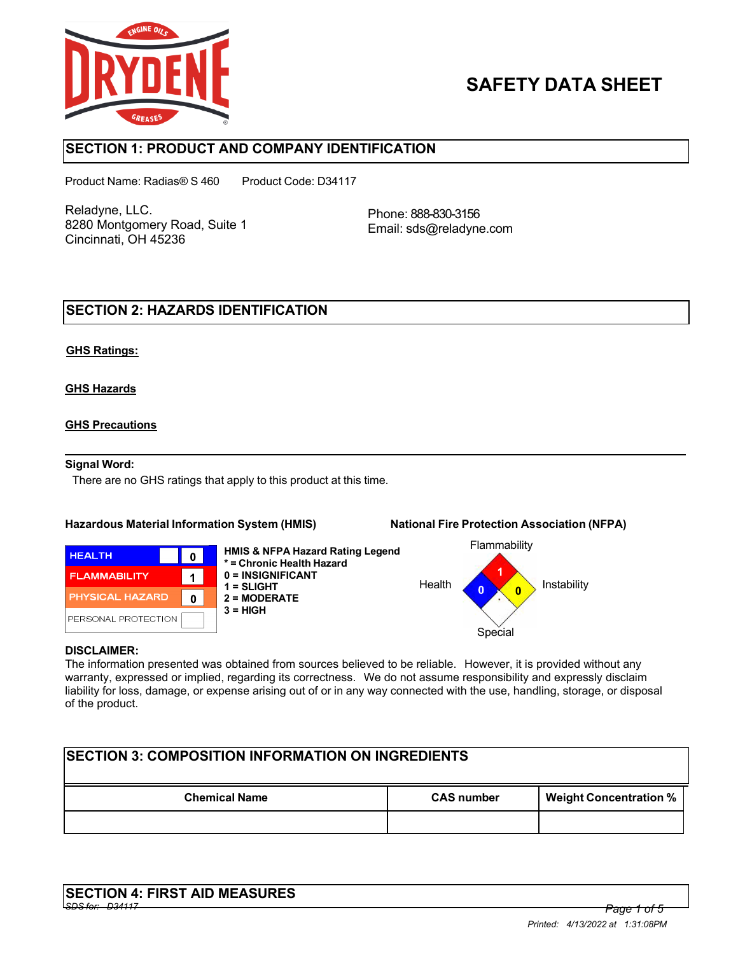

# **SAFETY DATA SHEET**

# **SECTION 1: PRODUCT AND COMPANY IDENTIFICATION**

Product Name: Radias® S 460 Product Code: D34117

Reladyne, LLC. 8280 Montgomery Road, Suite 1 Cincinnati, OH 45236

Phone: 888-830-3156 Email: sds@reladyne.com

# **SECTION 2: HAZARDS IDENTIFICATION**

#### **GHS Ratings:**

#### **GHS Hazards**

#### **GHS Precautions**

#### **Signal Word:**

**HEALTH** 

There are no GHS ratings that apply to this product at this time.

#### **Hazardous Material Information System (HMIS) National Fire Protection Association (NFPA)**

#### **HMIS & NFPA Hazard Rating Legend**  $\mathbf{0}$ **\* = Chronic Health Hazard FLAMMABILITY 0 = INSIGNIFICANT**  $\mathbf 1$ **1 = SLIGHT** PHYSICAL HAZARD  $\mathbf{0}$ **2 = MODERATE 3 = HIGH** PERSONAL PROTECTION



#### **DISCLAIMER:**

The information presented was obtained from sources believed to be reliable. However, it is provided without any warranty, expressed or implied, regarding its correctness. We do not assume responsibility and expressly disclaim liability for loss, damage, or expense arising out of or in any way connected with the use, handling, storage, or disposal of the product.

# **SECTION 3: COMPOSITION INFORMATION ON INGREDIENTS Chemical Name CAS number Weight Concentration %**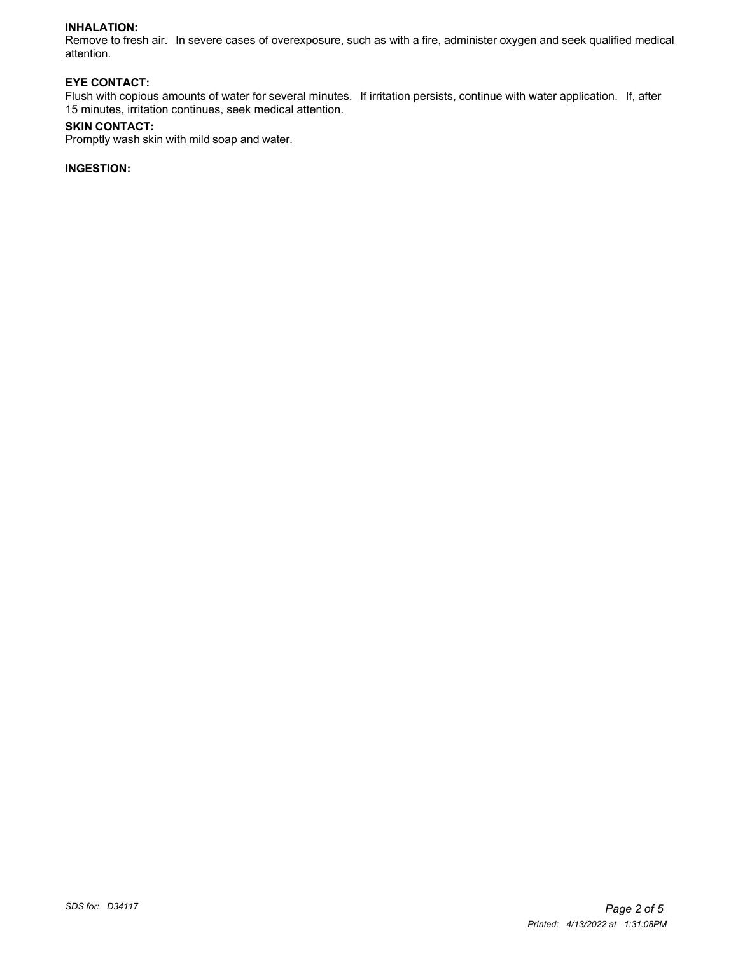#### **INHALATION:**

Remove to fresh air. In severe cases of overexposure, such as with a fire, administer oxygen and seek qualified medical attention.

#### **EYE CONTACT:**

Flush with copious amounts of water for several minutes. If irritation persists, continue with water application. If, after 15 minutes, irritation continues, seek medical attention.

#### **SKIN CONTACT:**

Promptly wash skin with mild soap and water.

#### **INGESTION:**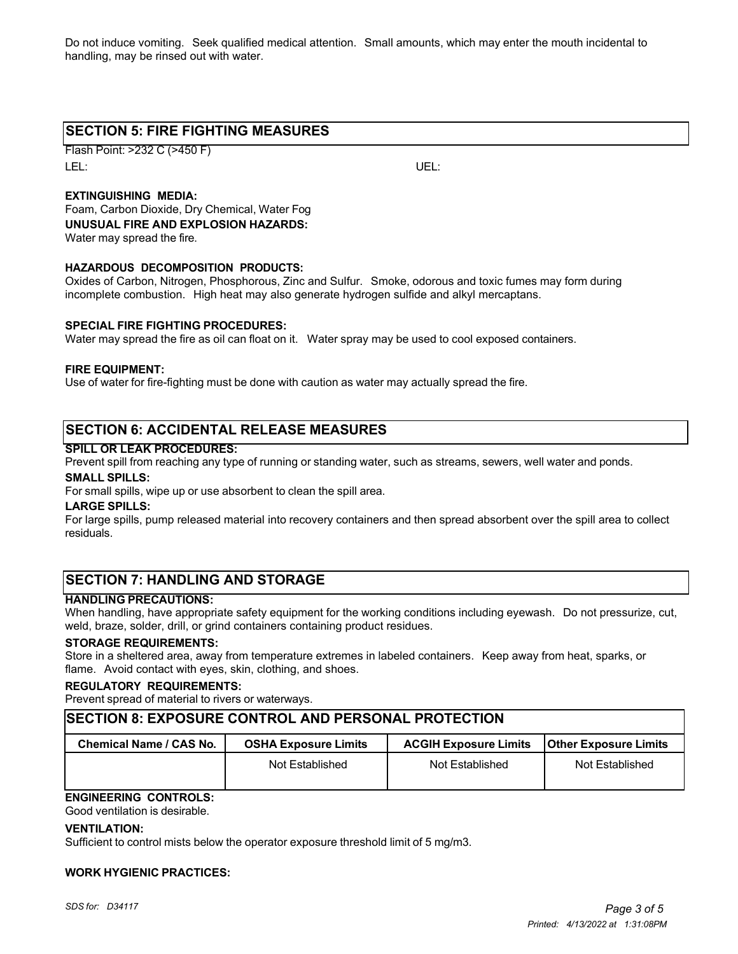Do not induce vomiting. Seek qualified medical attention. Small amounts, which may enter the mouth incidental to handling, may be rinsed out with water.

#### **SECTION 5: FIRE FIGHTING MEASURES**

Flash Point: >232 C (>450 F) LEL: UEL:

#### **EXTINGUISHING MEDIA:**

Foam, Carbon Dioxide, Dry Chemical, Water Fog **UNUSUAL FIRE AND EXPLOSION HAZARDS:** Water may spread the fire.

#### **HAZARDOUS DECOMPOSITION PRODUCTS:**

Oxides of Carbon, Nitrogen, Phosphorous, Zinc and Sulfur. Smoke, odorous and toxic fumes may form during incomplete combustion. High heat may also generate hydrogen sulfide and alkyl mercaptans.

#### **SPECIAL FIRE FIGHTING PROCEDURES:**

Water may spread the fire as oil can float on it. Water spray may be used to cool exposed containers.

#### **FIRE EQUIPMENT:**

Use of water for fire-fighting must be done with caution as water may actually spread the fire.

#### **SECTION 6: ACCIDENTAL RELEASE MEASURES**

#### **SPILL OR LEAK PROCEDURES:**

Prevent spill from reaching any type of running or standing water, such as streams, sewers, well water and ponds.

#### **SMALL SPILLS:**

For small spills, wipe up or use absorbent to clean the spill area.

#### **LARGE SPILLS:**

For large spills, pump released material into recovery containers and then spread absorbent over the spill area to collect residuals.

#### **SECTION 7: HANDLING AND STORAGE**

#### **HANDLING PRECAUTIONS:**

When handling, have appropriate safety equipment for the working conditions including eyewash. Do not pressurize, cut, weld, braze, solder, drill, or grind containers containing product residues.

#### **STORAGE REQUIREMENTS:**

Store in a sheltered area, away from temperature extremes in labeled containers. Keep away from heat, sparks, or flame. Avoid contact with eyes, skin, clothing, and shoes.

#### **REGULATORY REQUIREMENTS:**

Prevent spread of material to rivers or waterways.

#### **SECTION 8: EXPOSURE CONTROL AND PERSONAL PROTECTION**

| Chemical Name / CAS No. | <b>OSHA Exposure Limits</b> | <b>ACGIH Exposure Limits</b> | <b>IOther Exposure Limits</b> |
|-------------------------|-----------------------------|------------------------------|-------------------------------|
|                         | Not Established             | Not Established              | Not Established               |

#### **ENGINEERING CONTROLS:**

Good ventilation is desirable.

#### **VENTILATION:**

Sufficient to control mists below the operator exposure threshold limit of 5 mg/m3.

#### **WORK HYGIENIC PRACTICES:**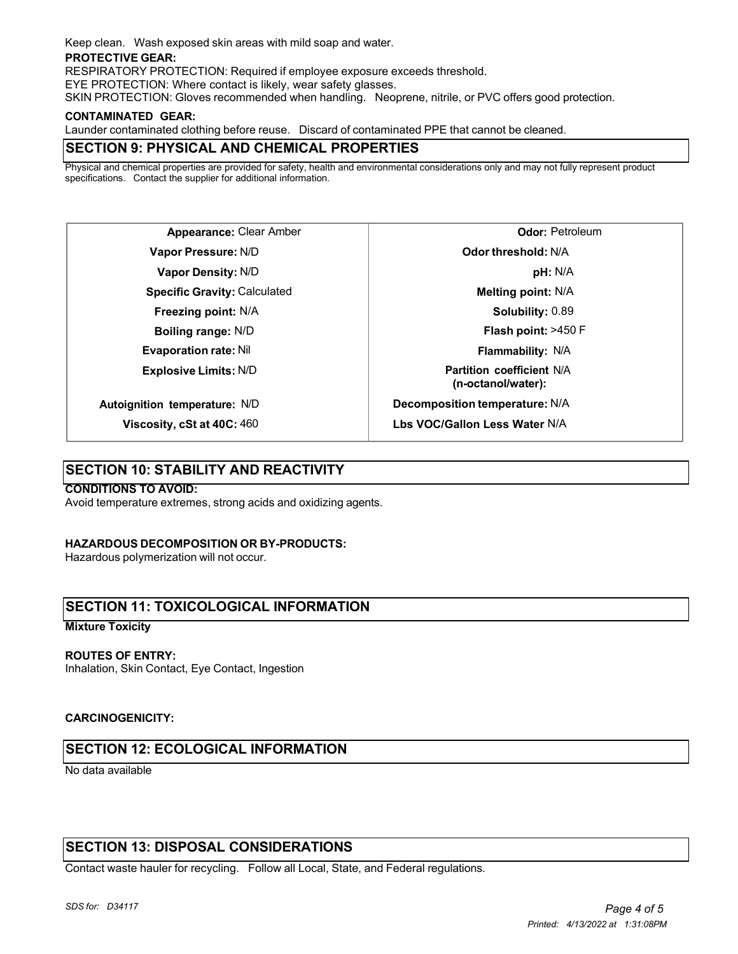Keep clean. Wash exposed skin areas with mild soap and water.

#### **PROTECTIVE GEAR:**

RESPIRATORY PROTECTION: Required if employee exposure exceeds threshold.

EYE PROTECTION: Where contact is likely, wear safety glasses.

SKIN PROTECTION: Gloves recommended when handling. Neoprene, nitrile, or PVC offers good protection.

#### **CONTAMINATED GEAR:**

Launder contaminated clothing before reuse. Discard of contaminated PPE that cannot be cleaned.

## **SECTION 9: PHYSICAL AND CHEMICAL PROPERTIES**

Physical and chemical properties are provided for safety, health and environmental considerations only and may not fully represent product specifications. Contact the supplier for additional information.

**Appearance:** Clear Amber **Vapor Pressure:** N/D **Vapor Density:** N/D **Specific Gravity:** Calculated **Freezing point:** N/A **Boiling range:** N/D **Evaporation rate:** Nil

**Explosive Limits:** N/D

**Autoignition temperature:** N/D

**Viscosity, cSt at 40C:** 460

**Odor:** Petroleum **Odor threshold:** N/A **pH:** N/A **Melting point:** N/A **Solubility:** 0.89 **Flash point:** >450 F **Flammability:** N/A **Partition coefficient** N/A **(n-octanol/water): Decomposition temperature:** N/A

**Lbs VOC/Gallon Less Water** N/A

# **SECTION 10: STABILITY AND REACTIVITY**

#### **CONDITIONS TO AVOID:**

Avoid temperature extremes, strong acids and oxidizing agents.

#### **HAZARDOUS DECOMPOSITION OR BY-PRODUCTS:**

Hazardous polymerization will not occur.

## **SECTION 11: TOXICOLOGICAL INFORMATION**

#### **Mixture Toxicity**

#### **ROUTES OF ENTRY:**

Inhalation, Skin Contact, Eye Contact, Ingestion

#### **CARCINOGENICITY:**

# **SECTION 12: ECOLOGICAL INFORMATION**

No data available

# **SECTION 13: DISPOSAL CONSIDERATIONS**

Contact waste hauler for recycling. Follow all Local, State, and Federal regulations.